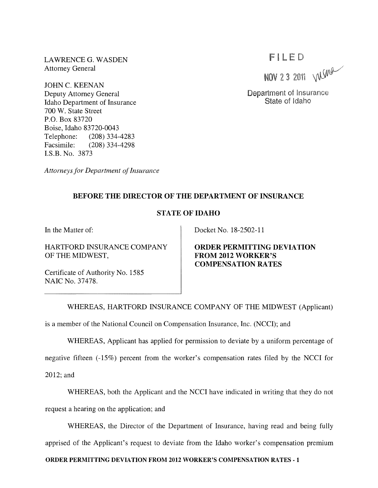LAWRENCE G. WASDEN Attorney General

JOHN C. KEENAN Deputy Attorney General Idaho Department of Insurance 700 W. State Street P.O. Box 83720 Boise, Idaho 83720-0043 Telephone: (208) 334-4283 Facsimile: (208) 334-4298 LS.B. No. 3873

*Attorneys for Department of Insurance* 

# FILED

NOV 2 3 2011 WIMM

Department of Insurance State of Idaho

#### BEFORE THE DIRECTOR OF THE DEPARTMENT OF INSURANCE

### STATE OF IDAHO

In the Matter of:

HARTFORD INSURANCE COMPANY OF THE MIDWEST,

Certificate of Authority No. 1585 NAIC No. 37478.

Docket No. 18-2502-11

ORDER PERMITTING DEVIATION FROM 2012 WORKER'S COMPENSATION RATES

WHEREAS, HARTFORD INSURANCE COMPANY OF THE MIDWEST (Applicant)

is a member of the National Council on Compensation Insurance, Inc. (NCCI); and

WHEREAS, Applicant has applied for permission to deviate by a uniform percentage of

negative fifteen (-15%) percent from the worker's compensation rates filed by the NCCI for 2012; and

WHEREAS, both the Applicant and the NCCI have indicated in writing that they do not request a hearing on the application; and

WHEREAS, the Director of the Department of Insurance, having read and being fully apprised of the Applicant's request to deviate from the Idaho worker's compensation premium

#### ORDER PERMITTING DEVIATION FROM 2012 WORKER'S COMPENSATION RATES - 1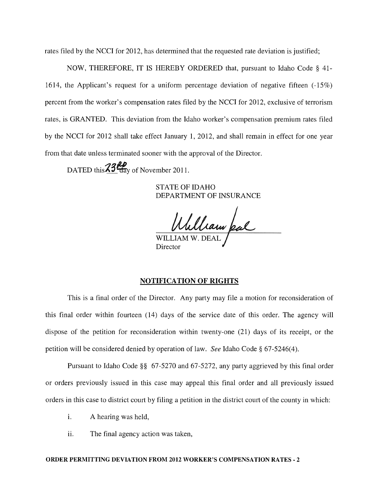rates filed by the NCCI for 2012, has determined that the requested rate deviation is justified;

NOW, THEREFORE, IT IS HEREBY ORDERED that, pursuant to Idaho Code § 41- 1614, the Applicant's request for a uniform percentage deviation of negative fifteen (-15%) percent from the worker's compensation rates filed by the NCCI for 2012, exclusive of terrorism rates, is GRANTED. This deviation from the Idaho worker's compensation premium rates filed by the NCCI for 2012 shall take effect January 1, 2012, and shall remain in effect for one year from that date unless terminated sooner with the approval of the Director.

DATED this  $\frac{23}{10}$  av of November 2011.

STATE OF IDAHO DEPARTMENT OF INSURANCE

WILLIAM W. DEAL

**Director** 

#### NOTIFICATION OF RIGHTS

This is a final order of the Director. Any party may file a motion for reconsideration of this final order within fourteen (14) days of the service date of this order. The agency will dispose of the petition for reconsideration within twenty-one (21) days of its receipt, or the petition will be considered denied by operation of law. *See* Idaho Code § 67-5246(4).

Pursuant to Idaho Code §§ 67-5270 and 67-5272, any party aggrieved by this final order or orders previously issued in this case may appeal this final order and all previously issued orders in this case to district court by filing a petition in the district court of the county in which:

- i. A hearing was held,
- ii. The final agency action was taken,